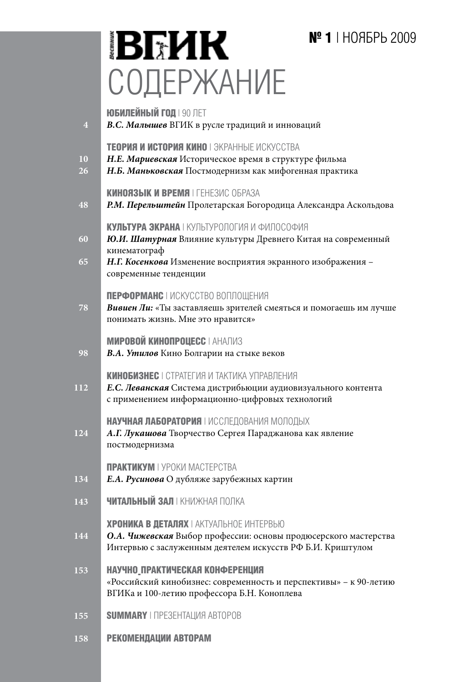# **№ 1** | НОЯБРЬ 2009

# **BEHK** СОДЕРЖАНИЕ

| $\overline{4}$ | <b>ЮБИЛЕЙНЫЙ ГОД   90 ЛЕТ</b><br>В.С. Малышев ВГИК в русле традиций и инноваций                                                                                                                                     |
|----------------|---------------------------------------------------------------------------------------------------------------------------------------------------------------------------------------------------------------------|
| 10<br>26       | TEOPMA И ИСТОРИЯ КИНО   ЭКРАННЫЕ ИСКУССТВА<br>Н.Е. Мариевская Историческое время в структуре фильма<br>Н.Б. Маньковская Постмодернизм как мифогенная практика                                                       |
| 48             | KUHOA3ЫK И ВРЕМЯ   ГЕНЕЗИС ОБРАЗА<br>Р.М. Перельштейн Пролетарская Богородица Александра Аскольдова                                                                                                                 |
| 60<br>65       | КУЛЬТУРА ЭКРАНА   КУЛЬТУРОЛОГИЯ И ФИЛОСОФИЯ<br>Ю.И. Шатурная Влияние культуры Древнего Китая на современный<br>кинематограф<br>Н.Г. Косенкова Изменение восприятия экранного изображения -<br>современные тенденции |
| 78             | ПЕРФОРМАНС   ИСКУССТВО ВОПЛОЩЕНИЯ<br><b>Вивиен Ли:</b> «Ты заставляешь зрителей смеяться и помогаешь им лучше<br>понимать жизнь. Мне это нравится»                                                                  |
| 98             | <b>МИРОВОЙ КИНОПРОЦЕСС   АНАЛИЗ</b><br>В.А. Утилов Кино Болгарии на стыке веков                                                                                                                                     |
| 112            | КИНОБИЗНЕС   СТРАТЕГИЯ И ТАКТИКА УПРАВЛЕНИЯ<br>Е.С. Леванская Система дистрибьюции аудиовизуального контента<br>с применением информационно-цифровых технологий                                                     |
| 124            | НАУЧНАЯ ЛАБОРАТОРИЯ   ИССЛЕДОВАНИЯ МОЛОДЫХ<br>А.Г. Лукашова Творчество Сергея Параджанова как явление<br>постмодернизма                                                                                             |
| 134            | ПРАКТИКУМ І УРОКИ МАСТЕРСТВА<br>Е.А. Русинова О дубляже зарубежных картин                                                                                                                                           |
| 143            | <b>ЧИТАЛЬНЫЙ ЗАЛ</b> І КНИЖНАЯ ПОЛКА                                                                                                                                                                                |
| 144            | ХРОНИКА В ДЕТАЛЯХ I АКТУАЛЬНОЕ ИНТЕРВЬЮ<br>О.А. Чижевская Выбор профессии: основы продюсерского мастерства<br>Интервью с заслуженным деятелем искусств РФ Б.И. Криштулом                                            |
| 153            | НАУЧНО ПРАКТИЧЕСКАЯ КОНФЕРЕНЦИЯ<br>«Российский кинобизнес: современность и перспективы» - к 90-летию<br>ВГИКа и 100-летию профессора Б.Н. Коноплева                                                                 |
| 155            | <b>SUMMARY</b>   <b><i>NPESEHTALIMA ABTOPOB</i></b>                                                                                                                                                                 |
| 158            | РЕКОМЕНДАЦИИ АВТОРАМ                                                                                                                                                                                                |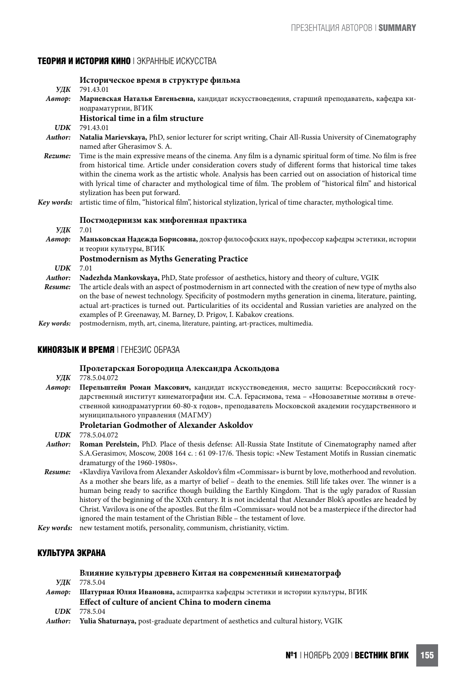# **ТЕОРИЯ И ИСТОРИЯ КИНО** | ЭКРАННЫЕ ИСКУССТВА

|            | Историческое время в структуре фильма                                                                                                                                                                                                                                                                                                                                                                                                                                                                 |
|------------|-------------------------------------------------------------------------------------------------------------------------------------------------------------------------------------------------------------------------------------------------------------------------------------------------------------------------------------------------------------------------------------------------------------------------------------------------------------------------------------------------------|
| УДК        | 791.43.01                                                                                                                                                                                                                                                                                                                                                                                                                                                                                             |
| Автор:     | Мариевская Наталья Евгеньевна, кандидат искусствоведения, старший преподаватель, кафедра ки-<br>нодраматургии, ВГИК                                                                                                                                                                                                                                                                                                                                                                                   |
|            |                                                                                                                                                                                                                                                                                                                                                                                                                                                                                                       |
|            | Historical time in a film structure                                                                                                                                                                                                                                                                                                                                                                                                                                                                   |
| UDK        | 791.43.01                                                                                                                                                                                                                                                                                                                                                                                                                                                                                             |
| Author:    | Natalia Marievskaya, PhD, senior lecturer for script writing, Chair All-Russia University of Cinematography<br>named after Gherasimov S. A.                                                                                                                                                                                                                                                                                                                                                           |
| Rezume:    | Time is the main expressive means of the cinema. Any film is a dynamic spiritual form of time. No film is free<br>from historical time. Article under consideration covers study of different forms that historical time takes<br>within the cinema work as the artistic whole. Analysis has been carried out on association of historical time<br>with lyrical time of character and mythological time of film. The problem of "historical film" and historical<br>stylization has been put forward. |
| Kev words: | artistic time of film, "historical film", historical stylization, lyrical of time character, mythological time.                                                                                                                                                                                                                                                                                                                                                                                       |
|            | Постмодернизм как мифогенная практика                                                                                                                                                                                                                                                                                                                                                                                                                                                                 |
| УДК        | 7.01                                                                                                                                                                                                                                                                                                                                                                                                                                                                                                  |
| Автор:     | Маньковская Надежда Борисовна, доктор философских наук, профессор кафедры эстетики, истории<br>и теории культуры, ВГИК                                                                                                                                                                                                                                                                                                                                                                                |
|            | <b>Postmodernism as Myths Generating Practice</b>                                                                                                                                                                                                                                                                                                                                                                                                                                                     |
| UDK        | 7.01                                                                                                                                                                                                                                                                                                                                                                                                                                                                                                  |
| Author:    | Nadezhda Mankovskaya, PhD, State professor of aesthetics, history and theory of culture, VGIK                                                                                                                                                                                                                                                                                                                                                                                                         |
| Resume:    | The article deals with an aspect of postmodernism in art connected with the creation of new type of myths also<br>on the base of newest technology. Specificity of postmodern myths generation in cinema, literature, painting,                                                                                                                                                                                                                                                                       |

- actual art-practices is turned out. Particularities of its occidental and Russian varieties are analyzed on the examples of P. Greenaway, M. Barney, D. Prigov, I. Kabakov creations.
- *Key words:* postmodernism, myth, art, cinema, literature, painting, art-practices, multimedia.

# **КИНОЯЗЫК И ВРЕМЯ** | ГЕНЕЗИС ОБРАЗА

# **Пролетарская Богородица Александра Аскольдова**

*УДК* 778.5.04.072

*Автор:* **Перельштейн Роман Максович,** кандидат искусствоведения, место защиты: Всероссийский государственный институт кинематографии им. С.А. Герасимова, тема – «Новозаветные мотивы в отечественной кинодраматургии 60-80-х годов», преподаватель Московской академии государственного и муниципального управления (МАГМУ)

# **Proletarian Godmother of Alexander Askoldov**

*UDK* 778.5.04.072

- *Author:* **Roman Perelstein,** PhD. Place of thesis defense: All-Russia State Institute of Cinematography named after S.A.Gerasimov, Moscow, 2008 164 c. : 61 09-17/6. Thesis topic: «New Testament Motifs in Russian cinematic dramaturgy of the 1960-1980s».
- *Resume:* «Klavdiya Vavilova from Alexander Askoldov's film «Commissar» is burnt by love, motherhood and revolution. As a mother she bears life, as a martyr of belief – death to the enemies. Still life takes over. The winner is a human being ready to sacrifice though building the Earthly Kingdom. That is the ugly paradox of Russian history of the beginning of the XXth century. It is not incidental that Alexander Blok's apostles are headed by Christ. Vavilova is one of the apostles. But the film «Commissar» would not be a masterpiece if the director had ignored the main testament of the Christian Bible – the testament of love.

*Key words:* new testament motifs, personality, communism, christianity, victim.

# **КУЛЬТУРА ЭКРАНА**

|         | Влияние культуры древнего Китая на современный кинематограф                                |
|---------|--------------------------------------------------------------------------------------------|
| УЛК     | 778.5.04                                                                                   |
| Asmot:  | Шатурная Юлия Ивановна, аспирантка кафедры эстетики и истории культуры, ВГИК               |
|         | Effect of culture of ancient China to modern cinema                                        |
|         | $UDK$ 778.5.04                                                                             |
| Author: | <b>Yulia Shaturnaya, post-graduate department of aesthetics and cultural history, VGIK</b> |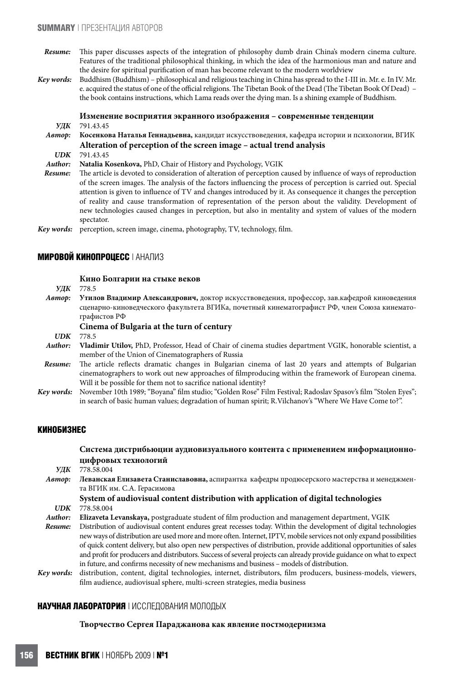- *Resume:* This paper discusses aspects of the integration of philosophy dumb drain China's modern cinema culture. Features of the traditional philosophical thinking, in which the idea of the harmonious man and nature and the desire for spiritual purification of man has become relevant to the modern worldview
- *Key wоrds:* Buddhism (Buddhism) philosophical and religious teaching in China has spread to the I-III in. Mr. e. In IV. Mr. e. acquired the status of one of the official religions. The Tibetan Book of the Dead (The Tibetan Book Of Dead) the book contains instructions, which Lama reads over the dying man. Is a shining example of Buddhism.

#### **Изменение восприятия экранного изображения – cовременные тенденции** *УДК* 791.43.45

*Автор:* **Косенкова Наталья Геннадьевна,** кандидат искусствоведения, кафедра истории и психологии, ВГИК  **Alteration of perception of the screen image – actual trend analysis UDK 791.43.45** 

*UDK* 791.43.45

*Author:* **Natalia Kosenkova,** PhD, Chair of History and Psychology, VGIK

*Resume:* The article is devoted to consideration of alteration of perception caused by influence of ways of reproduction of the screen images. The analysis of the factors influencing the process of perception is carried out. Special attention is given to influence of TV and changes introduced by it. As consequence it changes the perception of reality and cause transformation of representation of the person about the validity. Development of new technologies caused changes in perception, but also in mentality and system of values of the modern spectator.

# **МИРОВОЙ КИНОПРОЦЕСС** | АНАЛИЗ

#### **Кино Болгарии на стыке веков**

*УДК* 778.5

*Автор:* **Утилов Владимир Александрович,** доктор искусствоведения, профессор, зав.кафедрой киноведения сценарно-киноведческого факультета ВГИКа, почетный кинематографист РФ, член Союза кинематографистов РФ

# **Cinema of Bulgaria at the turn of century**

*UDK* 778.5

- *Author:* **Vladimir Utilov,** PhD, Professor, Head of Chair of cinema studies department VGIK, honorable scientist, a member of the Union of Cinematographers of Russia
- *Resume:* The article reflects dramatic changes in Bulgarian cinema of last 20 years and attempts of Bulgarian cinematographers to work out new approaches of filmproducing within the framework of European cinema. Will it be possible for them not to sacrifice national identity?
- *Key words:* November 10th 1989; "Boyana" film studio; "Golden Rose" Film Festival; Radoslav Spasov's film "Stolen Eyes"; in search of basic human values; degradation of human spirit; R.Vilchanov's "Where We Have Come to?".

# **КИНОБИЗНЕС**

# **Система дистрибьюции аудиовизуального контента с применением информационноцифровых технологий**

*УДК* 778.58.004 *Автор:* **Леванская Елизавета Станиславовна,** аспирантка кафедры продюсерского мастерства и менеджмента ВГИК им. С.А. Герасимова

#### **System of audiovisual content distribution with application of digital technologies** *UDK* 778.58.004

*Author:* **Elizaveta Levanskaya,** postgraduate student of film production and management department, VGIK

*Resume:* Distribution of audiovisual content endures great recesses today. Within the development of digital technologies newways of distribution are used more and more often.Internet,IPTV, mobile services not only expand possibilities of quick content delivery, but also open new perspectives of distribution, provide additional opportunities of sales and profit for producers and distributors. Success of several projects can already provide guidance on what to expect in future, and confirms necessity of new mechanisms and business – models of distribution.

*Key words:* distribution, content, digital technologies, internet, distributors, film producers, business-models, viewers, film audience, audiovisual sphere, multi-screen strategies, media business

## **НАУЧНАЯ ЛАБОРАТОРИЯ** | ИССЛЕДОВАНИЯ МОЛОДЫХ

#### **Творчество Сергея Параджанова как явление постмодернизма**

*Key words:* perception, screen image, cinema, photography, TV, technology, film.